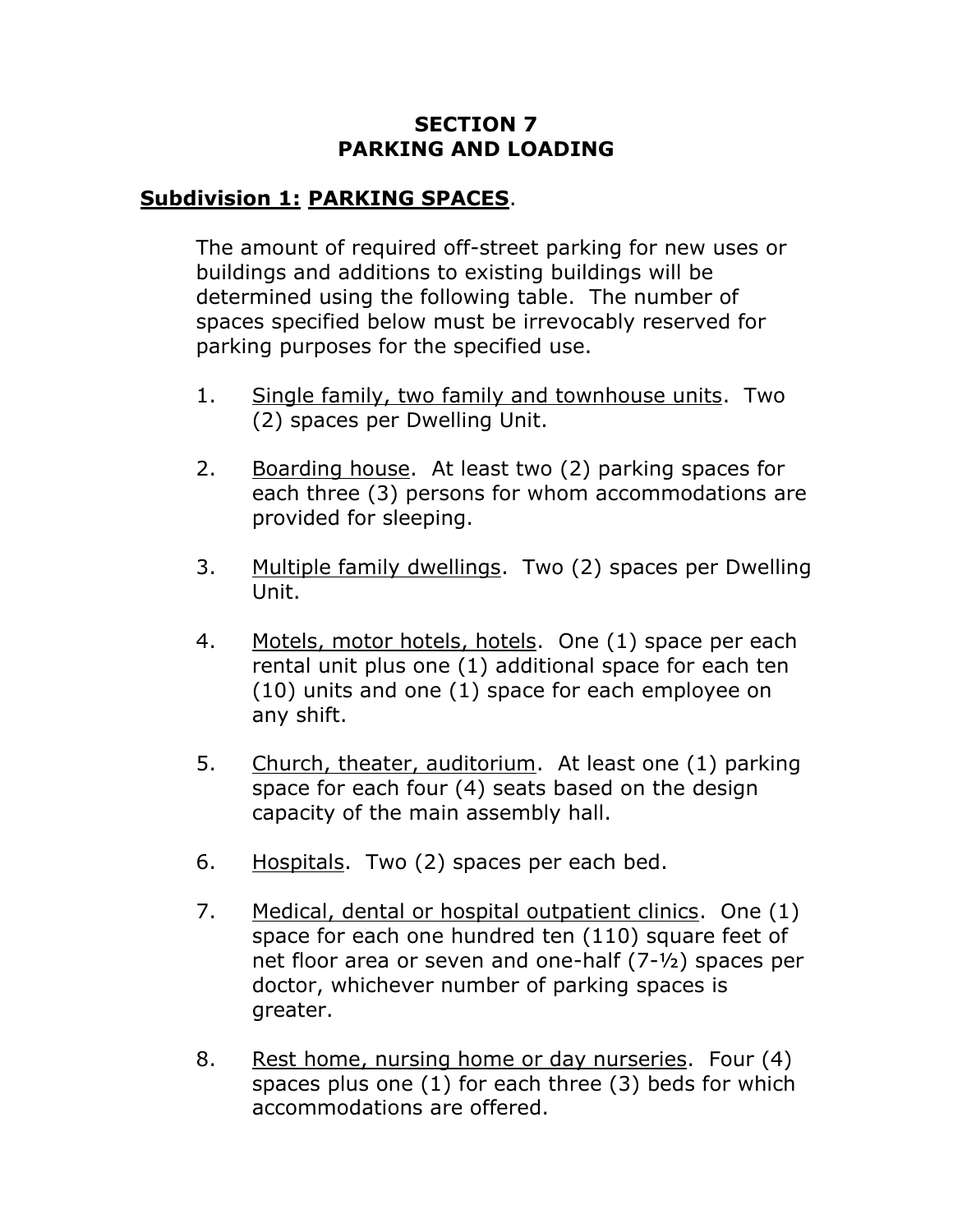### **SECTION 7 PARKING AND LOADING**

### **Subdivision 1: PARKING SPACES**.

The amount of required off-street parking for new uses or buildings and additions to existing buildings will be determined using the following table. The number of spaces specified below must be irrevocably reserved for parking purposes for the specified use.

- 1. Single family, two family and townhouse units. Two (2) spaces per Dwelling Unit.
- 2. Boarding house. At least two (2) parking spaces for each three (3) persons for whom accommodations are provided for sleeping.
- 3. Multiple family dwellings. Two (2) spaces per Dwelling Unit.
- 4. Motels, motor hotels, hotels. One (1) space per each rental unit plus one (1) additional space for each ten (10) units and one (1) space for each employee on any shift.
- 5. Church, theater, auditorium. At least one (1) parking space for each four (4) seats based on the design capacity of the main assembly hall.
- 6. Hospitals. Two (2) spaces per each bed.
- 7. Medical, dental or hospital outpatient clinics. One (1) space for each one hundred ten (110) square feet of net floor area or seven and one-half (7-½) spaces per doctor, whichever number of parking spaces is greater.
- 8. Rest home, nursing home or day nurseries. Four (4) spaces plus one (1) for each three (3) beds for which accommodations are offered.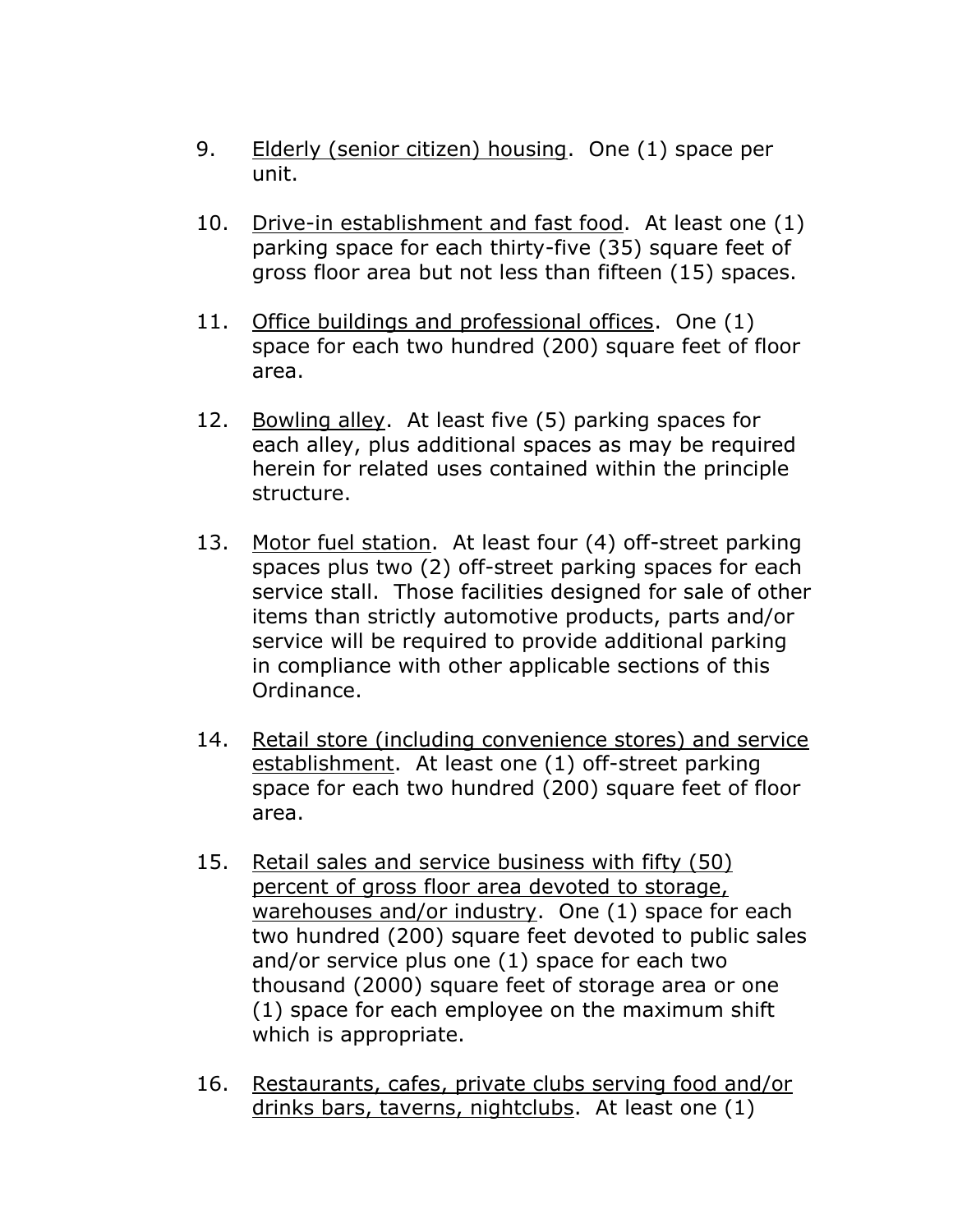- 9. Elderly (senior citizen) housing. One (1) space per unit.
- 10. Drive-in establishment and fast food. At least one (1) parking space for each thirty-five (35) square feet of gross floor area but not less than fifteen (15) spaces.
- 11. Office buildings and professional offices. One (1) space for each two hundred (200) square feet of floor area.
- 12. Bowling alley. At least five (5) parking spaces for each alley, plus additional spaces as may be required herein for related uses contained within the principle structure.
- 13. Motor fuel station. At least four (4) off-street parking spaces plus two (2) off-street parking spaces for each service stall. Those facilities designed for sale of other items than strictly automotive products, parts and/or service will be required to provide additional parking in compliance with other applicable sections of this Ordinance.
- 14. Retail store (including convenience stores) and service establishment. At least one (1) off-street parking space for each two hundred (200) square feet of floor area.
- 15. Retail sales and service business with fifty (50) percent of gross floor area devoted to storage, warehouses and/or industry. One (1) space for each two hundred (200) square feet devoted to public sales and/or service plus one (1) space for each two thousand (2000) square feet of storage area or one (1) space for each employee on the maximum shift which is appropriate.
- 16. Restaurants, cafes, private clubs serving food and/or drinks bars, taverns, nightclubs. At least one (1)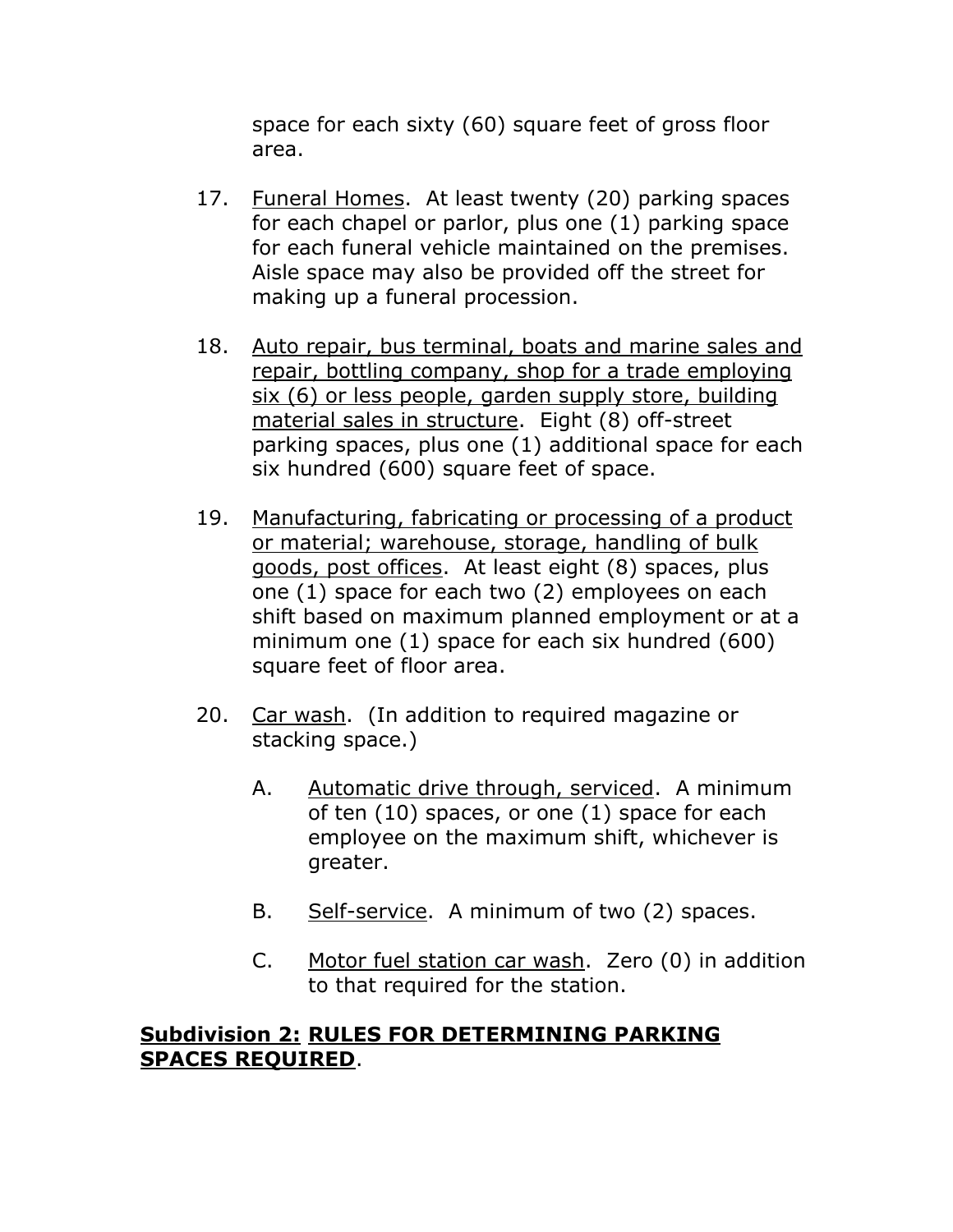space for each sixty (60) square feet of gross floor area.

- 17. Funeral Homes. At least twenty (20) parking spaces for each chapel or parlor, plus one (1) parking space for each funeral vehicle maintained on the premises. Aisle space may also be provided off the street for making up a funeral procession.
- 18. Auto repair, bus terminal, boats and marine sales and repair, bottling company, shop for a trade employing six (6) or less people, garden supply store, building material sales in structure. Eight (8) off-street parking spaces, plus one (1) additional space for each six hundred (600) square feet of space.
- 19. Manufacturing, fabricating or processing of a product or material; warehouse, storage, handling of bulk goods, post offices. At least eight (8) spaces, plus one (1) space for each two (2) employees on each shift based on maximum planned employment or at a minimum one (1) space for each six hundred (600) square feet of floor area.
- 20. Car wash. (In addition to required magazine or stacking space.)
	- A. Automatic drive through, serviced. A minimum of ten (10) spaces, or one (1) space for each employee on the maximum shift, whichever is greater.
	- B. Self-service. A minimum of two (2) spaces.
	- C. Motor fuel station car wash. Zero (0) in addition to that required for the station.

#### **Subdivision 2: RULES FOR DETERMINING PARKING SPACES REQUIRED**.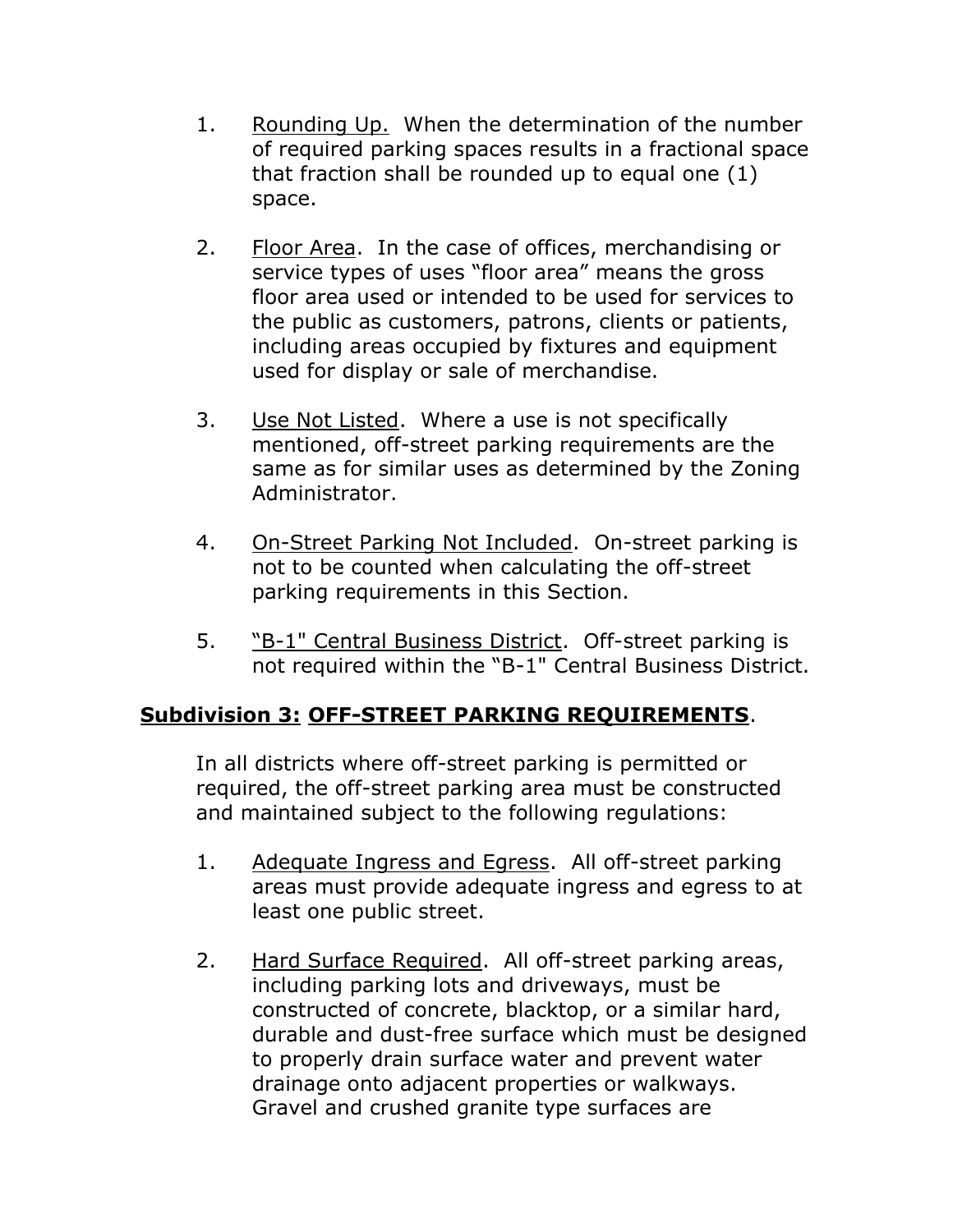- 1. Rounding Up. When the determination of the number of required parking spaces results in a fractional space that fraction shall be rounded up to equal one (1) space.
- 2. Floor Area. In the case of offices, merchandising or service types of uses "floor area" means the gross floor area used or intended to be used for services to the public as customers, patrons, clients or patients, including areas occupied by fixtures and equipment used for display or sale of merchandise.
- 3. Use Not Listed. Where a use is not specifically mentioned, off-street parking requirements are the same as for similar uses as determined by the Zoning Administrator.
- 4. On-Street Parking Not Included. On-street parking is not to be counted when calculating the off-street parking requirements in this Section.
- 5. "B-1" Central Business District. Off-street parking is not required within the "B-1" Central Business District.

# **Subdivision 3: OFF-STREET PARKING REQUIREMENTS**.

In all districts where off-street parking is permitted or required, the off-street parking area must be constructed and maintained subject to the following regulations:

- 1. Adequate Ingress and Egress. All off-street parking areas must provide adequate ingress and egress to at least one public street.
- 2. Hard Surface Required. All off-street parking areas, including parking lots and driveways, must be constructed of concrete, blacktop, or a similar hard, durable and dust-free surface which must be designed to properly drain surface water and prevent water drainage onto adjacent properties or walkways. Gravel and crushed granite type surfaces are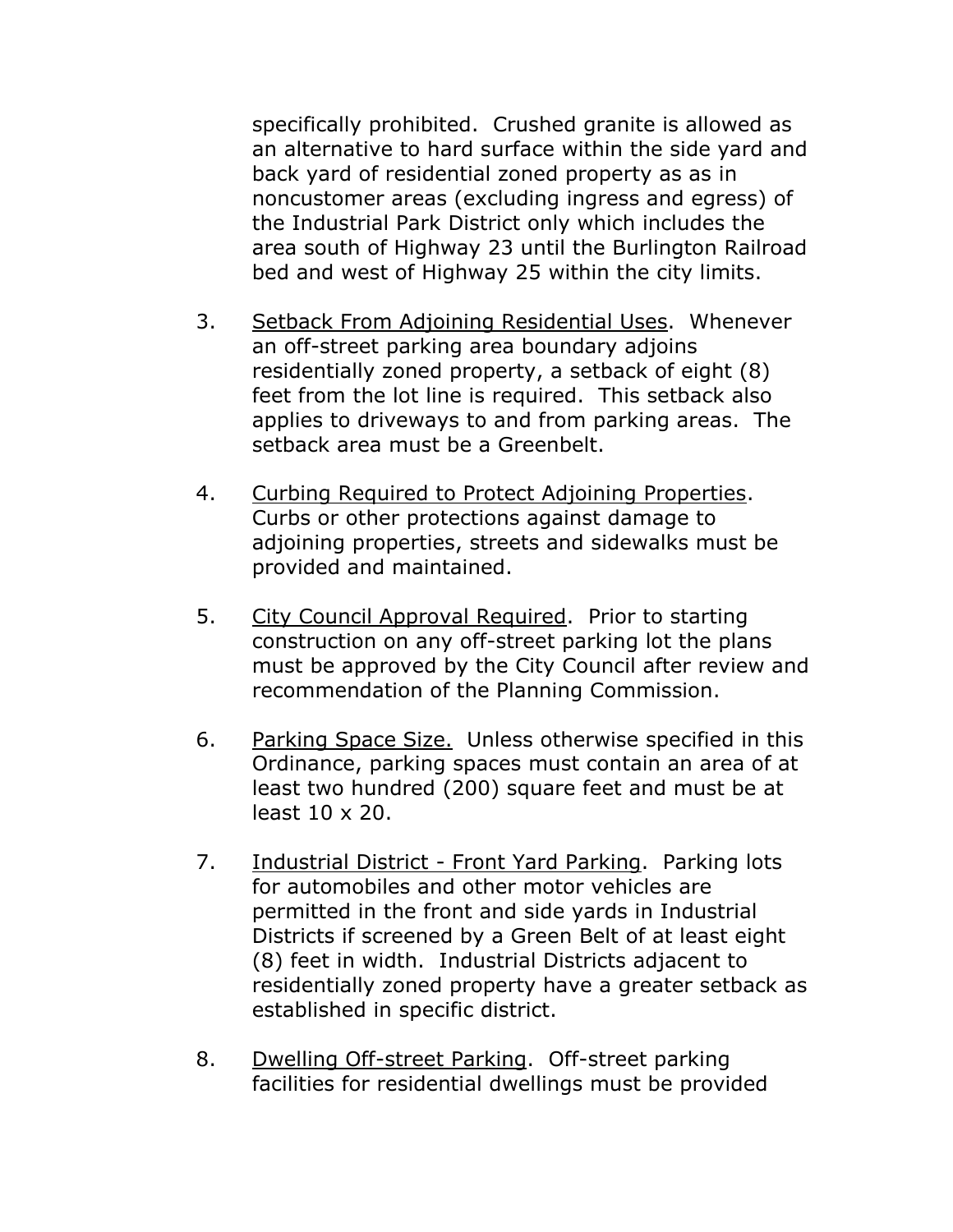specifically prohibited. Crushed granite is allowed as an alternative to hard surface within the side yard and back yard of residential zoned property as as in noncustomer areas (excluding ingress and egress) of the Industrial Park District only which includes the area south of Highway 23 until the Burlington Railroad bed and west of Highway 25 within the city limits.

- 3. Setback From Adjoining Residential Uses. Whenever an off-street parking area boundary adjoins residentially zoned property, a setback of eight (8) feet from the lot line is required. This setback also applies to driveways to and from parking areas. The setback area must be a Greenbelt.
- 4. Curbing Required to Protect Adjoining Properties. Curbs or other protections against damage to adjoining properties, streets and sidewalks must be provided and maintained.
- 5. City Council Approval Required. Prior to starting construction on any off-street parking lot the plans must be approved by the City Council after review and recommendation of the Planning Commission.
- 6. Parking Space Size. Unless otherwise specified in this Ordinance, parking spaces must contain an area of at least two hundred (200) square feet and must be at least 10 x 20.
- 7. Industrial District Front Yard Parking. Parking lots for automobiles and other motor vehicles are permitted in the front and side yards in Industrial Districts if screened by a Green Belt of at least eight (8) feet in width. Industrial Districts adjacent to residentially zoned property have a greater setback as established in specific district.
- 8. Dwelling Off-street Parking. Off-street parking facilities for residential dwellings must be provided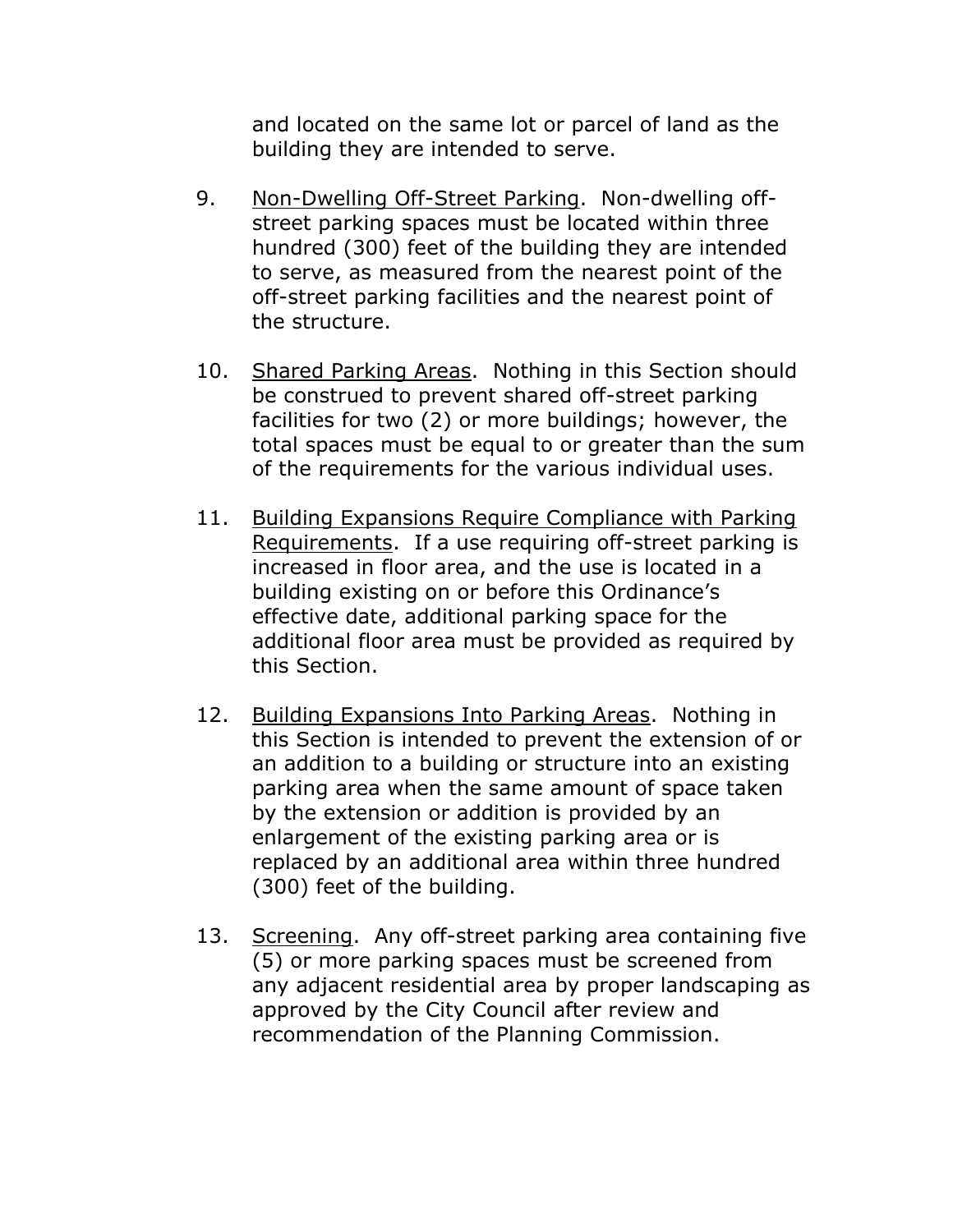and located on the same lot or parcel of land as the building they are intended to serve.

- 9. Non-Dwelling Off-Street Parking. Non-dwelling offstreet parking spaces must be located within three hundred (300) feet of the building they are intended to serve, as measured from the nearest point of the off-street parking facilities and the nearest point of the structure.
- 10. Shared Parking Areas. Nothing in this Section should be construed to prevent shared off-street parking facilities for two (2) or more buildings; however, the total spaces must be equal to or greater than the sum of the requirements for the various individual uses.
- 11. Building Expansions Require Compliance with Parking Requirements. If a use requiring off-street parking is increased in floor area, and the use is located in a building existing on or before this Ordinance's effective date, additional parking space for the additional floor area must be provided as required by this Section.
- 12. Building Expansions Into Parking Areas. Nothing in this Section is intended to prevent the extension of or an addition to a building or structure into an existing parking area when the same amount of space taken by the extension or addition is provided by an enlargement of the existing parking area or is replaced by an additional area within three hundred (300) feet of the building.
- 13. Screening. Any off-street parking area containing five (5) or more parking spaces must be screened from any adjacent residential area by proper landscaping as approved by the City Council after review and recommendation of the Planning Commission.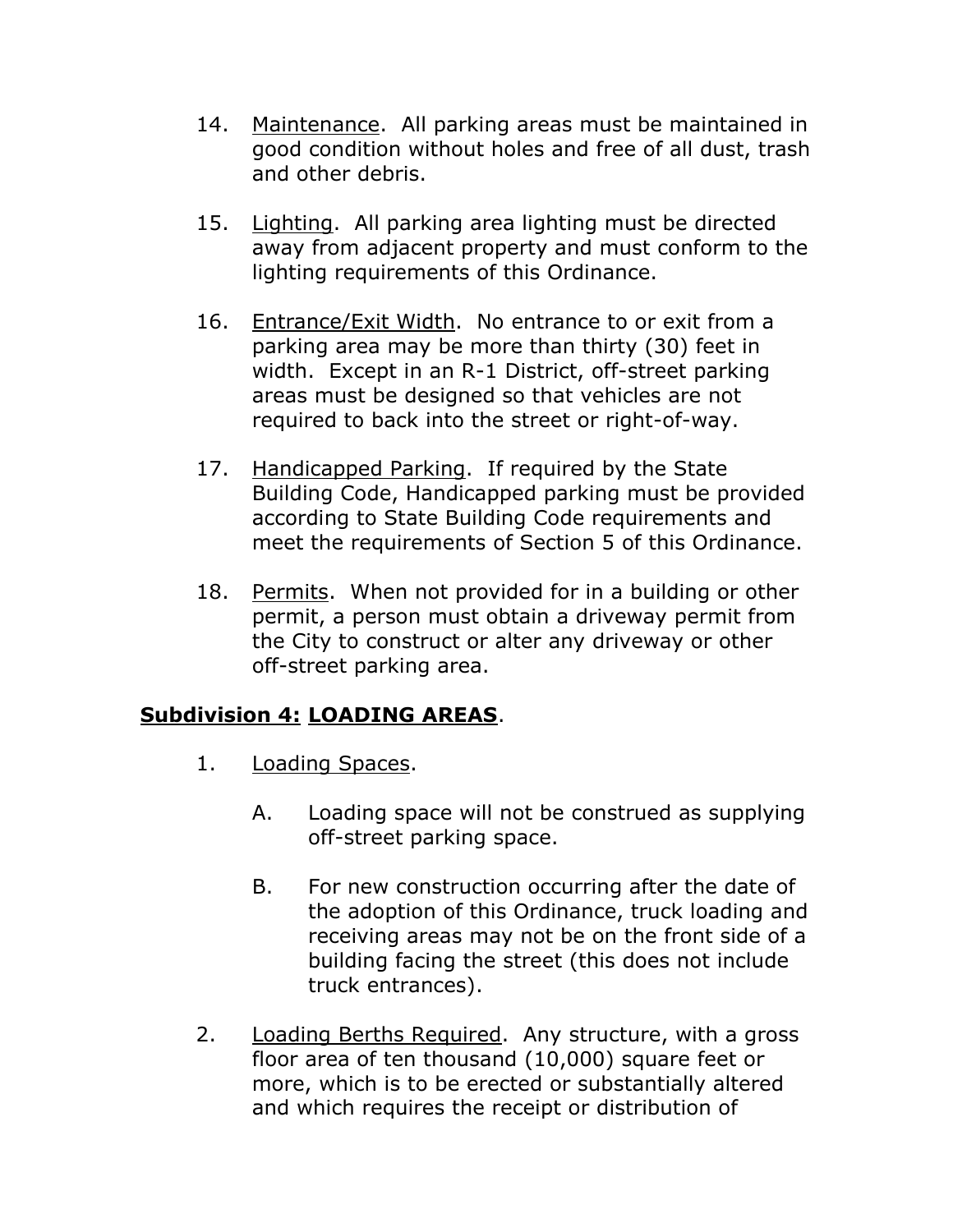- 14. Maintenance. All parking areas must be maintained in good condition without holes and free of all dust, trash and other debris.
- 15. Lighting. All parking area lighting must be directed away from adjacent property and must conform to the lighting requirements of this Ordinance.
- 16. Entrance/Exit Width. No entrance to or exit from a parking area may be more than thirty (30) feet in width. Except in an R-1 District, off-street parking areas must be designed so that vehicles are not required to back into the street or right-of-way.
- 17. Handicapped Parking. If required by the State Building Code, Handicapped parking must be provided according to State Building Code requirements and meet the requirements of Section 5 of this Ordinance.
- 18. Permits. When not provided for in a building or other permit, a person must obtain a driveway permit from the City to construct or alter any driveway or other off-street parking area.

# **Subdivision 4: LOADING AREAS**.

- 1. Loading Spaces.
	- A. Loading space will not be construed as supplying off-street parking space.
	- B. For new construction occurring after the date of the adoption of this Ordinance, truck loading and receiving areas may not be on the front side of a building facing the street (this does not include truck entrances).
- 2. Loading Berths Required. Any structure, with a gross floor area of ten thousand (10,000) square feet or more, which is to be erected or substantially altered and which requires the receipt or distribution of